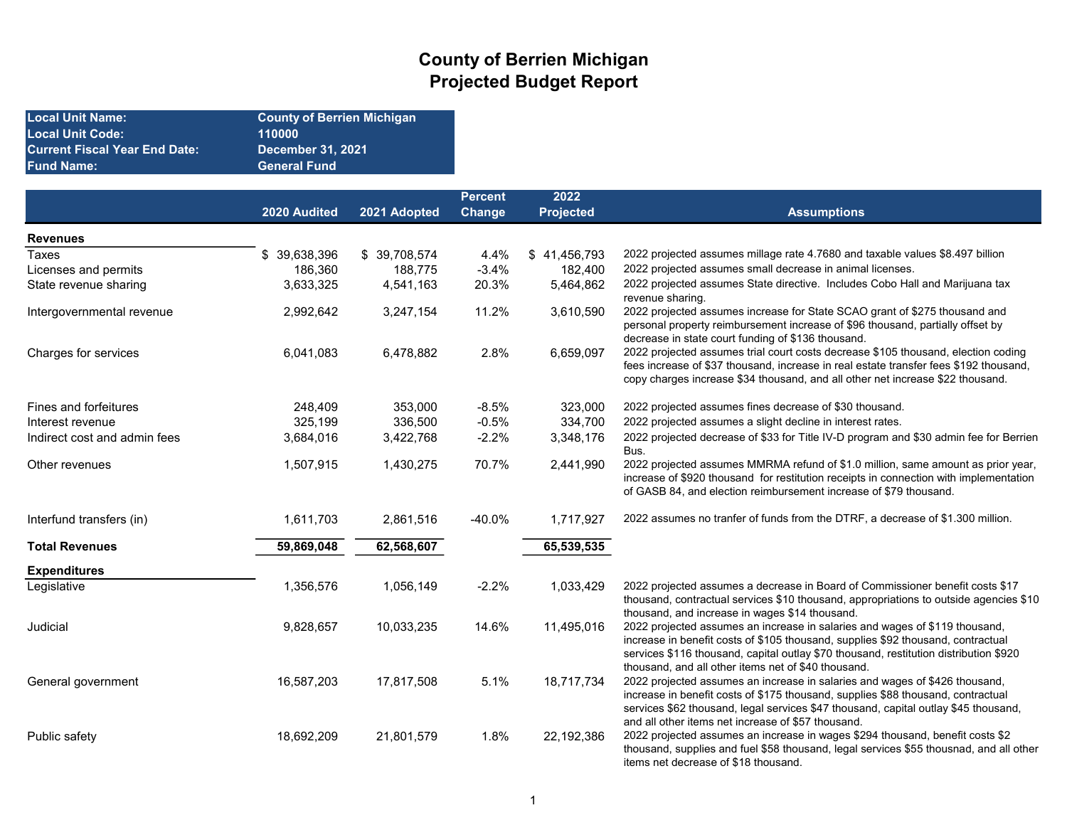## County of Berrien Michigan Projected Budget Report

| Local Unit Name:              | <b>County of Berrien Michigan</b> |
|-------------------------------|-----------------------------------|
| Local Unit Code:              | 110000                            |
| Current Fiscal Year End Date: | <b>December 31, 2021</b>          |
| Fund Name:                    | <b>General Fund</b>               |
|                               |                                   |

|                              |                  |              | <b>Percent</b> | 2022             |                                                                                                                                                                                                                                                                                                                 |
|------------------------------|------------------|--------------|----------------|------------------|-----------------------------------------------------------------------------------------------------------------------------------------------------------------------------------------------------------------------------------------------------------------------------------------------------------------|
|                              | 2020 Audited     | 2021 Adopted | <b>Change</b>  | <b>Projected</b> | <b>Assumptions</b>                                                                                                                                                                                                                                                                                              |
| <b>Revenues</b>              |                  |              |                |                  |                                                                                                                                                                                                                                                                                                                 |
| <b>Taxes</b>                 | 39,638,396<br>\$ | \$39,708,574 | 4.4%           | \$41,456,793     | 2022 projected assumes millage rate 4.7680 and taxable values \$8.497 billion                                                                                                                                                                                                                                   |
| Licenses and permits         | 186,360          | 188,775      | $-3.4%$        | 182,400          | 2022 projected assumes small decrease in animal licenses.                                                                                                                                                                                                                                                       |
| State revenue sharing        | 3,633,325        | 4,541,163    | 20.3%          | 5,464,862        | 2022 projected assumes State directive. Includes Cobo Hall and Marijuana tax<br>revenue sharing.                                                                                                                                                                                                                |
| Intergovernmental revenue    | 2,992,642        | 3,247,154    | 11.2%          | 3,610,590        | 2022 projected assumes increase for State SCAO grant of \$275 thousand and<br>personal property reimbursement increase of \$96 thousand, partially offset by<br>decrease in state court funding of \$136 thousand.                                                                                              |
| Charges for services         | 6,041,083        | 6,478,882    | 2.8%           | 6,659,097        | 2022 projected assumes trial court costs decrease \$105 thousand, election coding<br>fees increase of \$37 thousand, increase in real estate transfer fees \$192 thousand,<br>copy charges increase \$34 thousand, and all other net increase \$22 thousand.                                                    |
| Fines and forfeitures        | 248,409          | 353,000      | $-8.5%$        | 323,000          | 2022 projected assumes fines decrease of \$30 thousand.                                                                                                                                                                                                                                                         |
| Interest revenue             | 325,199          | 336,500      | $-0.5%$        | 334,700          | 2022 projected assumes a slight decline in interest rates.                                                                                                                                                                                                                                                      |
| Indirect cost and admin fees | 3,684,016        | 3,422,768    | $-2.2%$        | 3,348,176        | 2022 projected decrease of \$33 for Title IV-D program and \$30 admin fee for Berrien<br>Bus.                                                                                                                                                                                                                   |
| Other revenues               | 1,507,915        | 1,430,275    | 70.7%          | 2,441,990        | 2022 projected assumes MMRMA refund of \$1.0 million, same amount as prior year,<br>increase of \$920 thousand for restitution receipts in connection with implementation<br>of GASB 84, and election reimbursement increase of \$79 thousand.                                                                  |
| Interfund transfers (in)     | 1,611,703        | 2,861,516    | $-40.0\%$      | 1,717,927        | 2022 assumes no tranfer of funds from the DTRF, a decrease of \$1.300 million.                                                                                                                                                                                                                                  |
| <b>Total Revenues</b>        | 59,869,048       | 62,568,607   |                | 65,539,535       |                                                                                                                                                                                                                                                                                                                 |
| <b>Expenditures</b>          |                  |              |                |                  |                                                                                                                                                                                                                                                                                                                 |
| Legislative                  | 1,356,576        | 1,056,149    | $-2.2%$        | 1,033,429        | 2022 projected assumes a decrease in Board of Commissioner benefit costs \$17<br>thousand, contractual services \$10 thousand, appropriations to outside agencies \$10<br>thousand, and increase in wages \$14 thousand.                                                                                        |
| Judicial                     | 9,828,657        | 10,033,235   | 14.6%          | 11,495,016       | 2022 projected assumes an increase in salaries and wages of \$119 thousand,<br>increase in benefit costs of \$105 thousand, supplies \$92 thousand, contractual<br>services \$116 thousand, capital outlay \$70 thousand, restitution distribution \$920<br>thousand, and all other items net of \$40 thousand. |
| General government           | 16,587,203       | 17,817,508   | 5.1%           | 18,717,734       | 2022 projected assumes an increase in salaries and wages of \$426 thousand,<br>increase in benefit costs of \$175 thousand, supplies \$88 thousand, contractual<br>services \$62 thousand, legal services \$47 thousand, capital outlay \$45 thousand,<br>and all other items net increase of \$57 thousand.    |
| Public safety                | 18,692,209       | 21,801,579   | 1.8%           | 22,192,386       | 2022 projected assumes an increase in wages \$294 thousand, benefit costs \$2<br>thousand, supplies and fuel \$58 thousand, legal services \$55 thousnad, and all other<br>items net decrease of \$18 thousand.                                                                                                 |